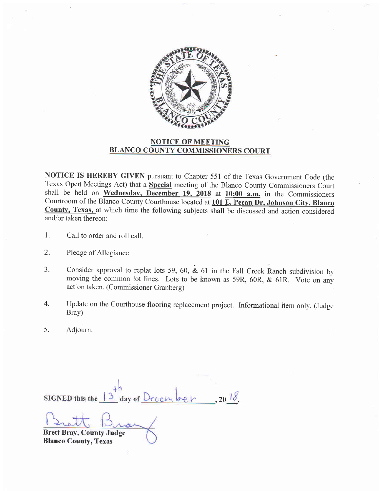

## NOTICE OF MEETING BLANCO COUNTY COMMISSIONERS COURT

NOTICE IS HEREBY GIVEN pursuant to Chapter 551 of the Texas Government Code (the Texas Operi Meetings Act) that a Special meeting of the Blanco County Commissioners Court shall be held on Wednesday, December 19, 2018 at  $10:00$  a.m. in the Commissioners Courtroom of the Blanco County Courthouse located at 101 E. Pecan Dr, Johnson City, Blanco County, Texas, at which time the following subjects shall be discussed and action considered and/or taken thereon:

- l. Call to order and roll call.
- $2.$ Pledge of Allegiance.
- 3. Consider approval to replat lots 59, 60,  $\&$  61 in the Fall Creek Ranch subdivision by moving the common lot lines. Lots to be known as 59R, 60R, & 61R. Vote on any action taken. (Commissioner Granberg)
- 4. Update on the Courthouse flooring replacement project. Informational item only. (Judge Bray)
- 5. Adjourn.

 $, 20^{18}$ day of Dece **SIGNED** this the

Brett Bray, County Judge Blanco County, Texas